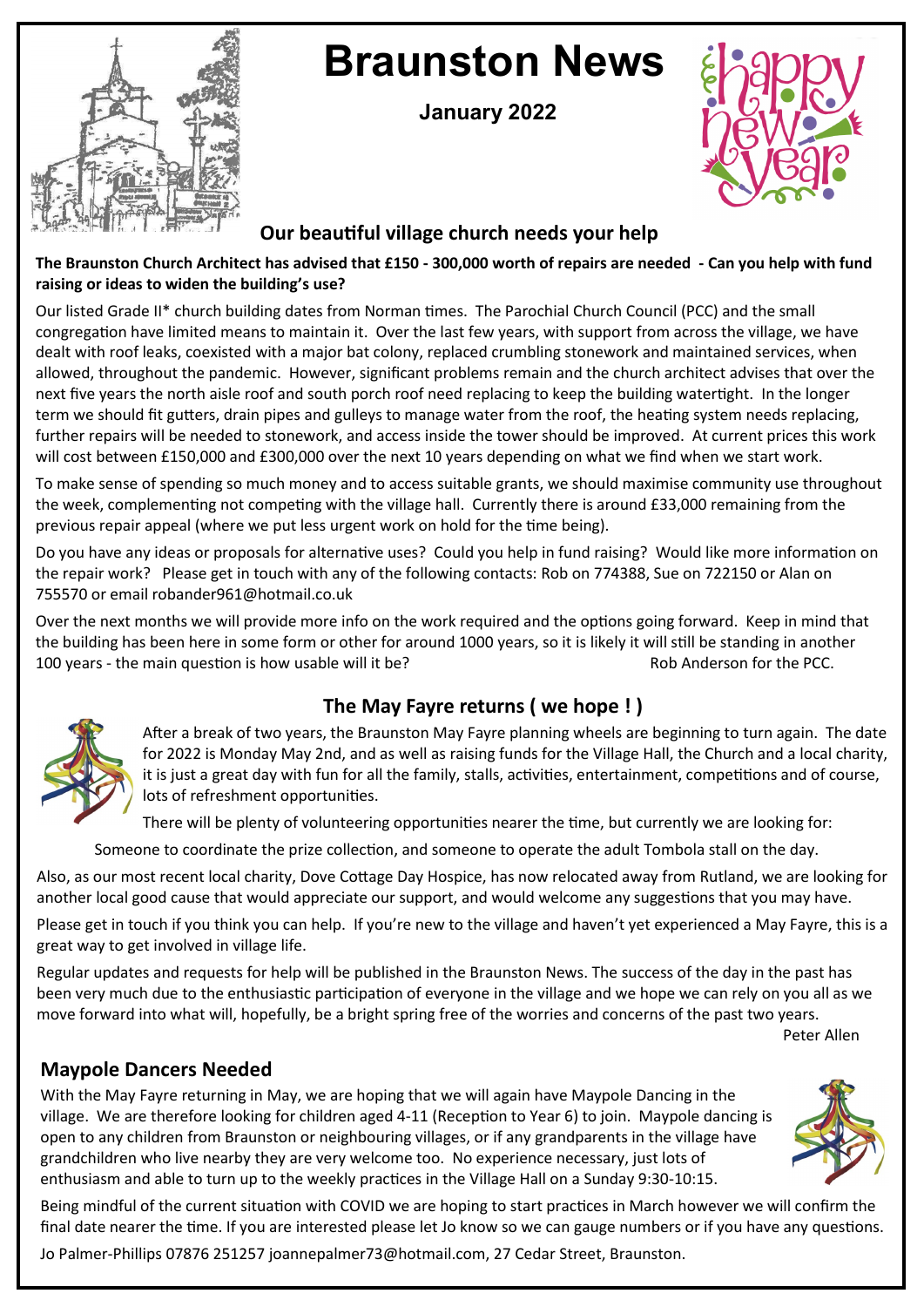

# **Braunston News**

**January 2022**



### **Our beautiful village church needs your help**

#### **The Braunston Church Architect has advised that £150 - 300,000 worth of repairs are needed - Can you help with fund raising or ideas to widen the building's use?**

Our listed Grade II\* church building dates from Norman times. The Parochial Church Council (PCC) and the small congregation have limited means to maintain it. Over the last few years, with support from across the village, we have dealt with roof leaks, coexisted with a major bat colony, replaced crumbling stonework and maintained services, when allowed, throughout the pandemic. However, significant problems remain and the church architect advises that over the next five years the north aisle roof and south porch roof need replacing to keep the building watertight. In the longer term we should fit gutters, drain pipes and gulleys to manage water from the roof, the heating system needs replacing, further repairs will be needed to stonework, and access inside the tower should be improved. At current prices this work will cost between £150,000 and £300,000 over the next 10 years depending on what we find when we start work.

To make sense of spending so much money and to access suitable grants, we should maximise community use throughout the week, complementing not competing with the village hall. Currently there is around £33,000 remaining from the previous repair appeal (where we put less urgent work on hold for the time being).

Do you have any ideas or proposals for alternative uses? Could you help in fund raising? Would like more information on the repair work? Please get in touch with any of the following contacts: Rob on 774388, Sue on 722150 or Alan on 755570 or email robander961@hotmail.co.uk

Over the next months we will provide more info on the work required and the options going forward. Keep in mind that the building has been here in some form or other for around 1000 years, so it is likely it will still be standing in another 100 years - the main question is how usable will it be? Rob Anderson for the PCC.

# **The May Fayre returns ( we hope ! )**



After a break of two years, the Braunston May Fayre planning wheels are beginning to turn again. The date for 2022 is Monday May 2nd, and as well as raising funds for the Village Hall, the Church and a local charity, it is just a great day with fun for all the family, stalls, activities, entertainment, competitions and of course, lots of refreshment opportunities.

There will be plenty of volunteering opportunities nearer the time, but currently we are looking for:

Someone to coordinate the prize collection, and someone to operate the adult Tombola stall on the day.

Also, as our most recent local charity, Dove Cottage Day Hospice, has now relocated away from Rutland, we are looking for another local good cause that would appreciate our support, and would welcome any suggestions that you may have.

Please get in touch if you think you can help. If you're new to the village and haven't yet experienced a May Fayre, this is a great way to get involved in village life.

Regular updates and requests for help will be published in the Braunston News. The success of the day in the past has been very much due to the enthusiastic participation of everyone in the village and we hope we can rely on you all as we move forward into what will, hopefully, be a bright spring free of the worries and concerns of the past two years.

Peter Allen

# **Maypole Dancers Needed**

With the May Fayre returning in May, we are hoping that we will again have Maypole Dancing in the village. We are therefore looking for children aged 4-11 (Reception to Year 6) to join. Maypole dancing is open to any children from Braunston or neighbouring villages, or if any grandparents in the village have grandchildren who live nearby they are very welcome too. No experience necessary, just lots of enthusiasm and able to turn up to the weekly practices in the Village Hall on a Sunday 9:30-10:15.



Being mindful of the current situation with COVID we are hoping to start practices in March however we will confirm the final date nearer the time. If you are interested please let Jo know so we can gauge numbers or if you have any questions.

Jo Palmer-Phillips 07876 251257 joannepalmer73@hotmail.com, 27 Cedar Street, Braunston.